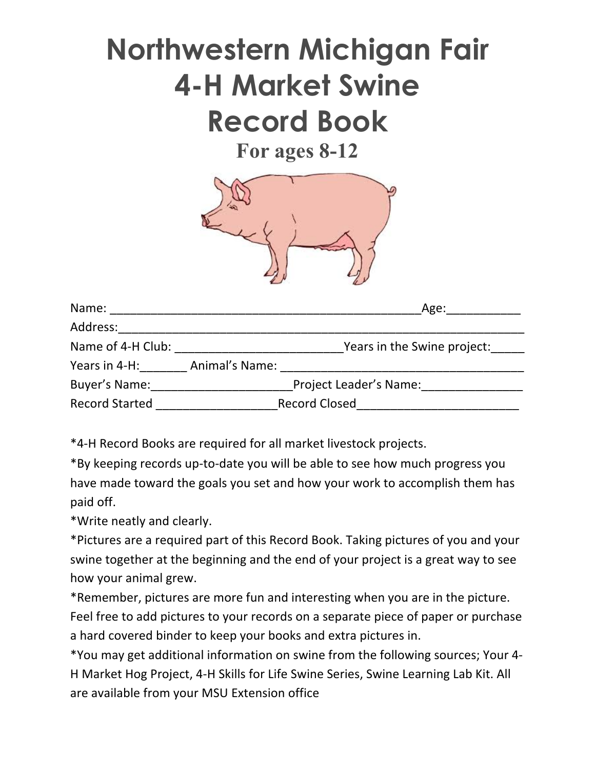# **Northwestern Michigan Fair 4-H Market Swine Record Book**

**For ages 8-12**



| Name:                 |                | Age:                          |
|-----------------------|----------------|-------------------------------|
| Address:              |                |                               |
| Name of 4-H Club:     |                | Years in the Swine project:   |
| Years in 4-H:         | Animal's Name: |                               |
| Buyer's Name:         |                | <b>Project Leader's Name:</b> |
| <b>Record Started</b> |                | <b>Record Closed</b>          |

\*4-H Record Books are required for all market livestock projects. 

\*By keeping records up-to-date you will be able to see how much progress you have made toward the goals you set and how your work to accomplish them has paid off. 

\*Write neatly and clearly.

\*Pictures are a required part of this Record Book. Taking pictures of you and your swine together at the beginning and the end of your project is a great way to see how your animal grew.

\*Remember, pictures are more fun and interesting when you are in the picture. Feel free to add pictures to your records on a separate piece of paper or purchase a hard covered binder to keep your books and extra pictures in.

\*You may get additional information on swine from the following sources; Your 4-H Market Hog Project, 4-H Skills for Life Swine Series, Swine Learning Lab Kit. All are available from your MSU Extension office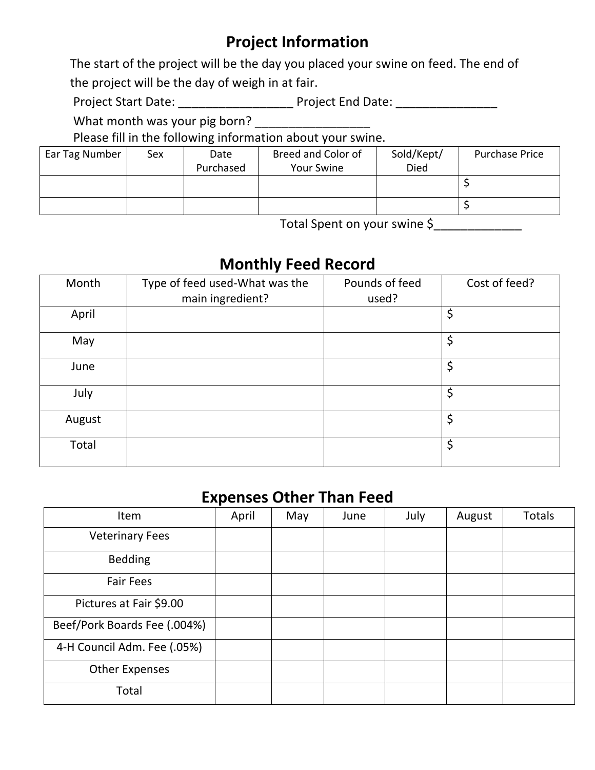## **Project Information**

The start of the project will be the day you placed your swine on feed. The end of the project will be the day of weigh in at fair.

Project Start Date: \_\_\_\_\_\_\_\_\_\_\_\_\_\_\_\_\_\_\_\_\_\_\_\_\_ Project End Date: \_\_\_\_\_\_\_\_\_\_\_\_\_\_\_\_

 What month was your pig born? \_\_\_\_\_\_\_\_\_\_\_\_\_\_\_\_\_

Please fill in the following information about your swine.

| Ear Tag Number | Sex | Date      | Breed and Color of | Sold/Kept/ | Purchase Price |
|----------------|-----|-----------|--------------------|------------|----------------|
|                |     | Purchased | <b>Your Swine</b>  | Died       |                |
|                |     |           |                    |            |                |
|                |     |           |                    |            |                |

Total Spent on your swine \$\_\_\_\_\_\_\_\_\_\_\_\_\_\_

# **Monthly Feed Record**

| Month  | Type of feed used-What was the<br>main ingredient? | Pounds of feed<br>used? | Cost of feed? |
|--------|----------------------------------------------------|-------------------------|---------------|
| April  |                                                    |                         | \$            |
| May    |                                                    |                         | \$            |
| June   |                                                    |                         | \$            |
| July   |                                                    |                         | \$            |
| August |                                                    |                         | \$            |
| Total  |                                                    |                         | \$            |

#### **Expenses Other Than Feed**

| Item                         | April | May | June | July | August | <b>Totals</b> |
|------------------------------|-------|-----|------|------|--------|---------------|
| <b>Veterinary Fees</b>       |       |     |      |      |        |               |
| <b>Bedding</b>               |       |     |      |      |        |               |
| <b>Fair Fees</b>             |       |     |      |      |        |               |
| Pictures at Fair \$9.00      |       |     |      |      |        |               |
| Beef/Pork Boards Fee (.004%) |       |     |      |      |        |               |
| 4-H Council Adm. Fee (.05%)  |       |     |      |      |        |               |
| <b>Other Expenses</b>        |       |     |      |      |        |               |
| Total                        |       |     |      |      |        |               |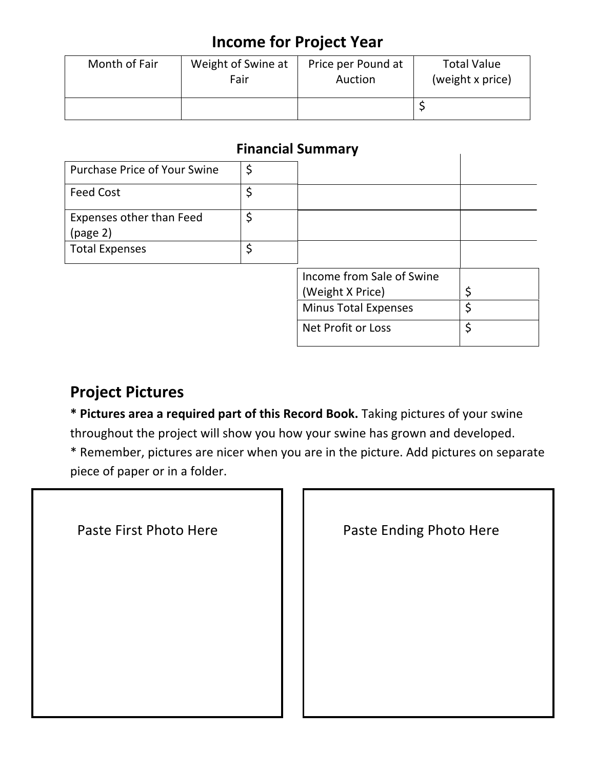### **Income for Project Year**

| Month of Fair | Weight of Swine at | Price per Pound at | <b>Total Value</b> |
|---------------|--------------------|--------------------|--------------------|
|               | Fair               | Auction            | (weight x price)   |
|               |                    |                    |                    |

#### **Financial Summary**

|                                      | THIANGIAI JUNINIAI Y        |    |
|--------------------------------------|-----------------------------|----|
| Purchase Price of Your Swine         | \$                          |    |
| <b>Feed Cost</b>                     | \$                          |    |
| Expenses other than Feed<br>(page 2) | \$                          |    |
| <b>Total Expenses</b>                | \$                          |    |
|                                      | Income from Sale of Swine   |    |
|                                      | (Weight X Price)            | \$ |
|                                      | <b>Minus Total Expenses</b> | \$ |
|                                      | Net Profit or Loss          | \$ |

### **Project Pictures**

\* Pictures area a required part of this Record Book. Taking pictures of your swine throughout the project will show you how your swine has grown and developed.

\* Remember, pictures are nicer when you are in the picture. Add pictures on separate piece of paper or in a folder.

| Paste First Photo Here |  |  |  |
|------------------------|--|--|--|
|------------------------|--|--|--|

Paste Ending Photo Here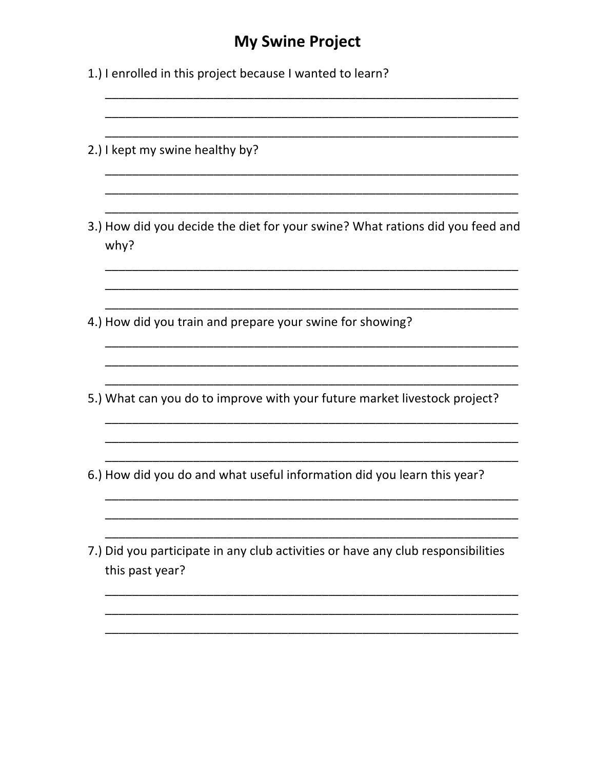#### **My Swine Project**

- 1.) I enrolled in this project because I wanted to learn?
- 2.) I kept my swine healthy by?
- 3.) How did you decide the diet for your swine? What rations did you feed and why?
- 4.) How did you train and prepare your swine for showing?
- 5.) What can you do to improve with your future market livestock project?

- 6.) How did you do and what useful information did you learn this year?
- 7.) Did you participate in any club activities or have any club responsibilities this past year?